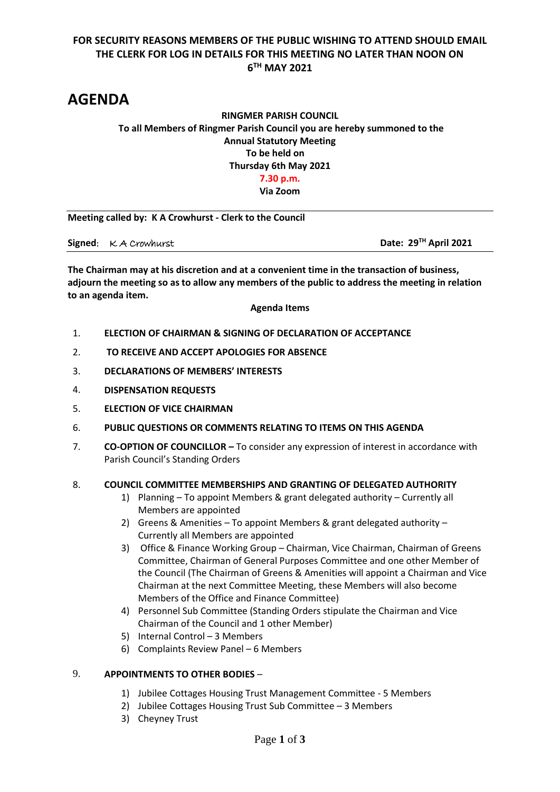# **FOR SECURITY REASONS MEMBERS OF THE PUBLIC WISHING TO ATTEND SHOULD EMAIL THE CLERK FOR LOG IN DETAILS FOR THIS MEETING NO LATER THAN NOON ON 6 TH MAY 2021**

# **AGENDA**

# **RINGMER PARISH COUNCIL To all Members of Ringmer Parish Council you are hereby summoned to the Annual Statutory Meeting To be held on Thursday 6th May 2021 7.30 p.m. Via Zoom**

**Meeting called by: K A Crowhurst - Clerk to the Council** 

**Signed**: K A Crowhurst **Date: 29TH April 2021**

**The Chairman may at his discretion and at a convenient time in the transaction of business, adjourn the meeting so as to allow any members of the public to address the meeting in relation to an agenda item.**

#### **Agenda Items**

- 1. **ELECTION OF CHAIRMAN & SIGNING OF DECLARATION OF ACCEPTANCE**
- 2. **TO RECEIVE AND ACCEPT APOLOGIES FOR ABSENCE**
- 3. **DECLARATIONS OF MEMBERS' INTERESTS**
- 4. **DISPENSATION REQUESTS**
- 5. **ELECTION OF VICE CHAIRMAN**
- 6. **PUBLIC QUESTIONS OR COMMENTS RELATING TO ITEMS ON THIS AGENDA**
- 7. **CO-OPTION OF COUNCILLOR –** To consider any expression of interest in accordance with Parish Council's Standing Orders

#### 8. **COUNCIL COMMITTEE MEMBERSHIPS AND GRANTING OF DELEGATED AUTHORITY**

- 1) Planning To appoint Members & grant delegated authority Currently all Members are appointed
- 2) Greens & Amenities To appoint Members & grant delegated authority Currently all Members are appointed
- 3) Office & Finance Working Group Chairman, Vice Chairman, Chairman of Greens Committee, Chairman of General Purposes Committee and one other Member of the Council (The Chairman of Greens & Amenities will appoint a Chairman and Vice Chairman at the next Committee Meeting, these Members will also become Members of the Office and Finance Committee)
- 4) Personnel Sub Committee (Standing Orders stipulate the Chairman and Vice Chairman of the Council and 1 other Member)
- 5) Internal Control 3 Members
- 6) Complaints Review Panel 6 Members

#### 9. **APPOINTMENTS TO OTHER BODIES** –

- 1) Jubilee Cottages Housing Trust Management Committee 5 Members
- 2) Jubilee Cottages Housing Trust Sub Committee 3 Members
- 3) Cheyney Trust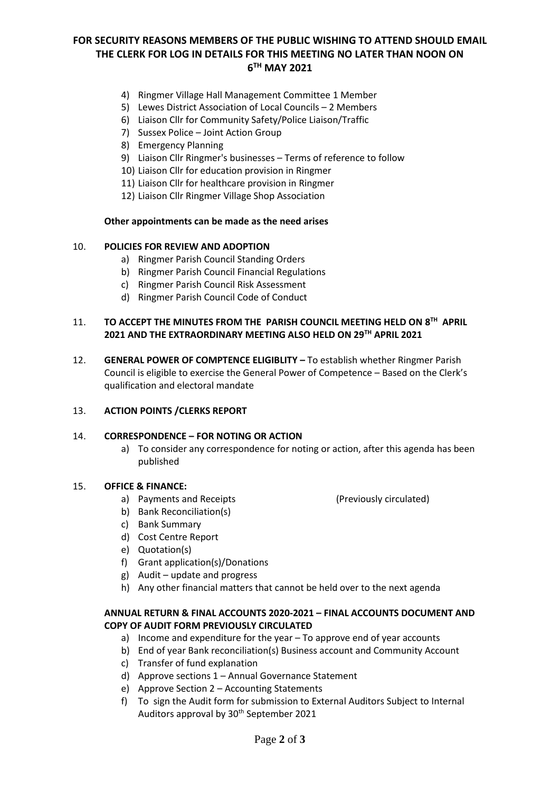# **FOR SECURITY REASONS MEMBERS OF THE PUBLIC WISHING TO ATTEND SHOULD EMAIL THE CLERK FOR LOG IN DETAILS FOR THIS MEETING NO LATER THAN NOON ON 6 TH MAY 2021**

- 4) Ringmer Village Hall Management Committee 1 Member
- 5) Lewes District Association of Local Councils 2 Members
- 6) Liaison Cllr for Community Safety/Police Liaison/Traffic
- 7) Sussex Police Joint Action Group
- 8) Emergency Planning
- 9) Liaison Cllr Ringmer's businesses Terms of reference to follow
- 10) Liaison Cllr for education provision in Ringmer
- 11) Liaison Cllr for healthcare provision in Ringmer
- 12) Liaison Cllr Ringmer Village Shop Association

#### **Other appointments can be made as the need arises**

#### 10. **POLICIES FOR REVIEW AND ADOPTION**

- a) Ringmer Parish Council Standing Orders
- b) Ringmer Parish Council Financial Regulations
- c) Ringmer Parish Council Risk Assessment
- d) Ringmer Parish Council Code of Conduct

#### 11. TO ACCEPT THE MINUTES FROM THE PARISH COUNCIL MEETING HELD ON 8<sup>TH</sup> APRIL **2021 AND THE EXTRAORDINARY MEETING ALSO HELD ON 29TH APRIL 2021**

12. **GENERAL POWER OF COMPTENCE ELIGIBLITY –** To establish whether Ringmer Parish Council is eligible to exercise the General Power of Competence – Based on the Clerk's qualification and electoral mandate

#### 13. **ACTION POINTS /CLERKS REPORT**

#### 14. **CORRESPONDENCE – FOR NOTING OR ACTION**

a) To consider any correspondence for noting or action, after this agenda has been published

#### 15. **OFFICE & FINANCE:**

a) Payments and Receipts (Previously circulated)

- b) Bank Reconciliation(s) c) Bank Summary
- d) Cost Centre Report
- e) Quotation(s)
- f) Grant application(s)/Donations
- g) Audit update and progress
- h) Any other financial matters that cannot be held over to the next agenda

## **ANNUAL RETURN & FINAL ACCOUNTS 2020-2021 – FINAL ACCOUNTS DOCUMENT AND COPY OF AUDIT FORM PREVIOUSLY CIRCULATED**

- a) Income and expenditure for the year To approve end of year accounts
- b) End of year Bank reconciliation(s) Business account and Community Account
- c) Transfer of fund explanation
- d) Approve sections 1 Annual Governance Statement
- e) Approve Section 2 Accounting Statements
- f) To sign the Audit form for submission to External Auditors Subject to Internal Auditors approval by 30<sup>th</sup> September 2021